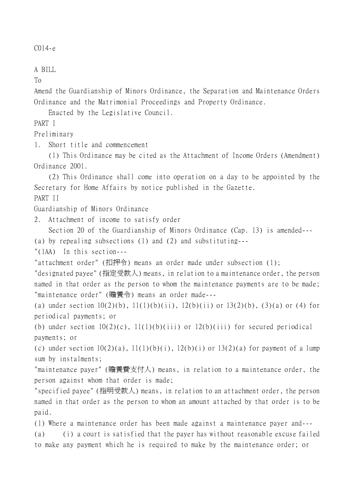```
C014-e
```
A BILL

To

Amend the Guardianship of Minors Ordinance, the Separation and Maintenance Orders Ordinance and the Matrimonial Proceedings and Property Ordinance.

Enacted by the Legislative Council.

PART I

Preliminary

1. Short title and commencement

(1) This Ordinance may be cited as the Attachment of Income Orders (Amendment) Ordinance 2001.

(2) This Ordinance shall come into operation on a day to be appointed by the Secretary for Home Affairs by notice published in the Gazette. PART II

Guardianship of Minors Ordinance

2. Attachment of income to satisfy order

Section 20 of the Guardianship of Minors Ordinance (Cap. 13) is amended--- (a) by repealing subsections (1) and (2) and substituting---

"(1AA) In this section---

"attachment order" (扣押令) means an order made under subsection (1);

"designated payee" (指定受款㆟) means, in relation to a maintenance order, the person named in that order as the person to whom the maintenance payments are to be made; "maintenance order" (贍養令) means an order made---

(a) under section  $10(2)(b)$ ,  $11(1)(b)(ii)$ ,  $12(b)(ii)$  or  $13(2)(b)$ ,  $(3)(a)$  or (4) for periodical payments; or

(b) under section  $10(2)(c)$ ,  $11(1)(b)(iii)$  or  $12(b)(iii)$  for secured periodical payments; or

(c) under section  $10(2)(a)$ ,  $11(1)(b)(i)$ ,  $12(b)(i)$  or  $13(2)(a)$  for payment of a lump sum by instalments;

"maintenance payer" (贍養費支付㆟) means, in relation to a maintenance order, the person against whom that order is made;

"specified payee" (指明受款㆟) means, in relation to an attachment order, the person named in that order as the person to whom an amount attached by that order is to be paid.

(1) Where a maintenance order has been made against a maintenance payer and--- (a) (i) a court is satisfied that the payer has without reasonable excuse failed to make any payment which he is required to make by the maintenance order; or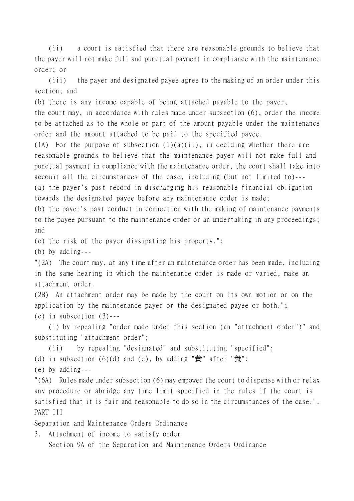(ii) a court is satisfied that there are reasonable grounds to believe that the payer will not make full and punctual payment in compliance with the maintenance order; or

(iii) the payer and designated payee agree to the making of an order under this section; and

(b) there is any income capable of being attached payable to the payer,

the court may, in accordance with rules made under subsection (6), order the income to be attached as to the whole or part of the amount payable under the maintenance order and the amount attached to be paid to the specified payee.

(1A) For the purpose of subsection  $(1)(a)(ii)$ , in deciding whether there are reasonable grounds to believe that the maintenance payer will not make full and punctual payment in compliance with the maintenance order, the court shall take into account all the circumstances of the case, including (but not limited to)--- (a) the payer's past record in discharging his reasonable financial obligation towards the designated payee before any maintenance order is made;

(b) the payer's past conduct in connection with the making of maintenance payments to the payee pursuant to the maintenance order or an undertaking in any proceedings; and

(c) the risk of the payer dissipating his property.";

(b) by adding---

"(2A) The court may, at any time after an maintenance order has been made, including in the same hearing in which the maintenance order is made or varied, make an attachment order.

(2B) An attachment order may be made by the court on its own motion or on the application by the maintenance payer or the designated payee or both."; (c) in subsection  $(3)$ ---

(i) by repealing "order made under this section (an "attachment order")" and substituting "attachment order";

(ii) by repealing "designated" and substituting "specified"; (d) in subsection  $(6)(d)$  and  $(e)$ , by adding "費" after "養";

(e) by adding---

"(6A) Rules made under subsection (6) may empower the court to dispense with or relax any procedure or abridge any time limit specified in the rules if the court is satisfied that it is fair and reasonable to do so in the circumstances of the case.". PART III

Separation and Maintenance Orders Ordinance

3. Attachment of income to satisfy order

Section 9A of the Separation and Maintenance Orders Ordinance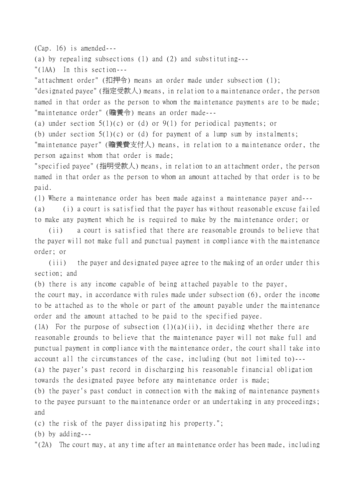(Cap. 16) is amended---

(a) by repealing subsections (1) and (2) and substituting---

"(1AA) In this section---

"attachment order" (扣押令) means an order made under subsection (1);

"designated payee" (指定受款㆟) means, in relation to a maintenance order, the person named in that order as the person to whom the maintenance payments are to be made; "maintenance order" (贍養令) means an order made---

(a) under section  $5(1)(c)$  or (d) or  $9(1)$  for periodical payments; or

(b) under section  $5(1)(c)$  or (d) for payment of a lump sum by instalments;

"maintenance payer" (贍養費支付㆟) means, in relation to a maintenance order, the person against whom that order is made;

"specified payee" (指明受款㆟) means, in relation to an attachment order, the person named in that order as the person to whom an amount attached by that order is to be paid.

(1) Where a maintenance order has been made against a maintenance payer and--- (a) (i) a court is satisfied that the payer has without reasonable excuse failed to make any payment which he is required to make by the maintenance order; or

(ii) a court is satisfied that there are reasonable grounds to believe that the payer will not make full and punctual payment in compliance with the maintenance order; or

(iii) the payer and designated payee agree to the making of an order under this section; and

(b) there is any income capable of being attached payable to the payer,

the court may, in accordance with rules made under subsection (6), order the income to be attached as to the whole or part of the amount payable under the maintenance order and the amount attached to be paid to the specified payee.

(1A) For the purpose of subsection  $(1)(a)(ii)$ , in deciding whether there are reasonable grounds to believe that the maintenance payer will not make full and punctual payment in compliance with the maintenance order, the court shall take into account all the circumstances of the case, including (but not limited to)--- (a) the payer's past record in discharging his reasonable financial obligation towards the designated payee before any maintenance order is made;

(b) the payer's past conduct in connection with the making of maintenance payments to the payee pursuant to the maintenance order or an undertaking in any proceedings; and

(c) the risk of the payer dissipating his property.";

(b) by adding---

"(2A) The court may, at any time after an maintenance order has been made, including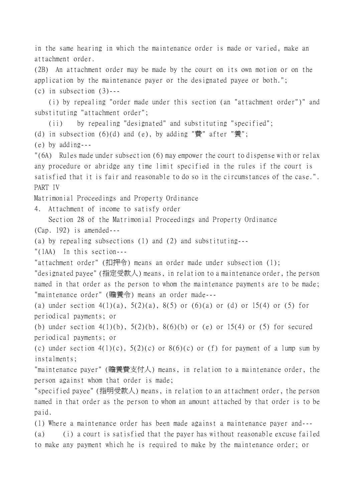in the same hearing in which the maintenance order is made or varied, make an attachment order.

(2B) An attachment order may be made by the court on its own motion or on the application by the maintenance payer or the designated payee or both."; (c) in subsection  $(3)$ ---

(i) by repealing "order made under this section (an "attachment order")" and substituting "attachment order";

(ii) by repealing "designated" and substituting "specified";

(d) in subsection  $(6)(d)$  and  $(e)$ , by adding "費" after "養";

(e) by adding---

"(6A) Rules made under subsection (6) may empower the court to dispense with or relax any procedure or abridge any time limit specified in the rules if the court is satisfied that it is fair and reasonable to do so in the circumstances of the case.". PART IV

Matrimonial Proceedings and Property Ordinance

4. Attachment of income to satisfy order

Section 28 of the Matrimonial Proceedings and Property Ordinance (Cap. 192) is amended---

(a) by repealing subsections (1) and (2) and substituting---

"(1AA) In this section---

"attachment order" (扣押令) means an order made under subsection (1);

"designated payee" (指定受款㆟) means, in relation to a maintenance order, the person named in that order as the person to whom the maintenance payments are to be made; "maintenance order" (贍養令) means an order made---

(a) under section  $4(1)(a)$ ,  $5(2)(a)$ ,  $8(5)$  or  $(6)(a)$  or  $(d)$  or  $15(4)$  or  $(5)$  for periodical payments; or

(b) under section  $4(1)(b)$ ,  $5(2)(b)$ ,  $8(6)(b)$  or (e) or  $15(4)$  or (5) for secured periodical payments; or

(c) under section  $4(1)(c)$ ,  $5(2)(c)$  or  $8(6)(c)$  or (f) for payment of a lump sum by instalments;

"maintenance payer" (贍養費支付㆟) means, in relation to a maintenance order, the person against whom that order is made;

"specified payee" (指明受款㆟) means, in relation to an attachment order, the person named in that order as the person to whom an amount attached by that order is to be paid.

(1) Where a maintenance order has been made against a maintenance payer and--- (a) (i) a court is satisfied that the payer has without reasonable excuse failed to make any payment which he is required to make by the maintenance order; or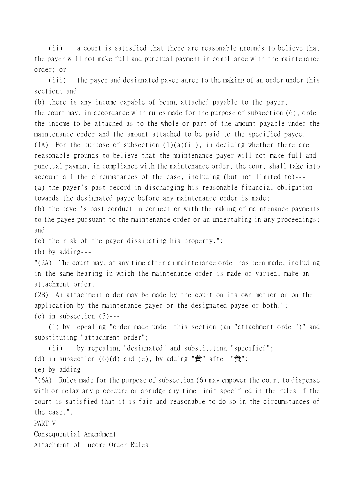(ii) a court is satisfied that there are reasonable grounds to believe that the payer will not make full and punctual payment in compliance with the maintenance order; or

(iii) the payer and designated payee agree to the making of an order under this section; and

(b) there is any income capable of being attached payable to the payer,

the court may, in accordance with rules made for the purpose of subsection (6), order the income to be attached as to the whole or part of the amount payable under the maintenance order and the amount attached to be paid to the specified payee. (1A) For the purpose of subsection  $(1)(a)(ii)$ , in deciding whether there are reasonable grounds to believe that the maintenance payer will not make full and punctual payment in compliance with the maintenance order, the court shall take into account all the circumstances of the case, including (but not limited to)--- (a) the payer's past record in discharging his reasonable financial obligation towards the designated payee before any maintenance order is made;

(b) the payer's past conduct in connection with the making of maintenance payments to the payee pursuant to the maintenance order or an undertaking in any proceedings; and

(c) the risk of the payer dissipating his property.";

(b) by adding---

"(2A) The court may, at any time after an maintenance order has been made, including in the same hearing in which the maintenance order is made or varied, make an attachment order.

(2B) An attachment order may be made by the court on its own motion or on the application by the maintenance payer or the designated payee or both."; (c) in subsection  $(3)$ ---

(i) by repealing "order made under this section (an "attachment order")" and substituting "attachment order";

(ii) by repealing "designated" and substituting "specified"; (d) in subsection  $(6)(d)$  and  $(e)$ , by adding "費" after "養"; (e) by adding--- "(6A) Rules made for the purpose of subsection (6) may empower the court to dispense with or relax any procedure or abridge any time limit specified in the rules if the court is satisfied that it is fair and reasonable to do so in the circumstances of

the case.".

PART V

Consequential Amendment

Attachment of Income Order Rules